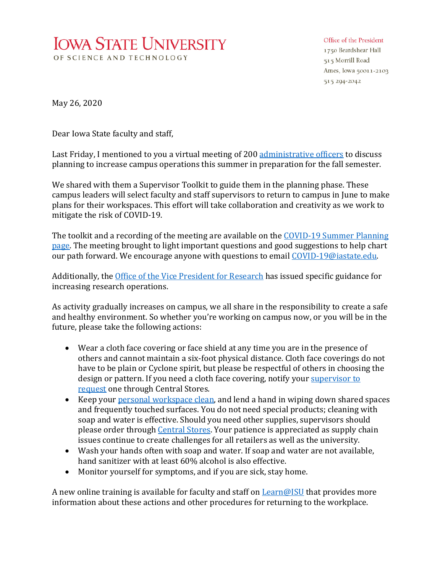## **IOWA STATE UNIVERSITY** OF SCIENCE AND TECHNOLOGY

## Office of the President

1750 Beardshear Hall 515 Morrill Road Ames, Iowa 50011-2103 515 294-2042

May 26, 2020

Dear Iowa State faculty and staff,

Last Friday, I mentioned to you a virtual meeting of 200 [administrative officers](https://www.provost.iastate.edu/administrator-resources/administrative-officers) to discuss planning to increase campus operations this summer in preparation for the fall semester.

We shared with them a Supervisor Toolkit to guide them in the planning phase. These campus leaders will select faculty and staff supervisors to return to campus in June to make plans for their workspaces. This effort will take collaboration and creativity as we work to mitigate the risk of COVID-19.

The toolkit and a recording of the meeting are available on the [COVID-19 Summer Planning](https://web.iastate.edu/safety/updates/covid19/summer)  [page.](https://web.iastate.edu/safety/updates/covid19/summer) The meeting brought to light important questions and good suggestions to help chart our path forward. We encourage anyone with questions to email [COVID-19@iastate.edu.](mailto:COVID-19@iastate.edu)

Additionally, the [Office of the Vice President for Research](http://www.research.iastate.edu/wp-content/uploads/2020/05/OVPR-Summer-Campus-Research.pdf) has issued specific guidance for increasing research operations.

As activity gradually increases on campus, we all share in the responsibility to create a safe and healthy environment. So whether you're working on campus now, or you will be in the future, please take the following actions:

- Wear a cloth face covering or face shield at any time you are in the presence of others and cannot maintain a six-foot physical distance. Cloth face coverings do not have to be plain or Cyclone spirit, but please be respectful of others in choosing the design or pattern. If you need a cloth face covering, notify your supervisor to [request](https://www.centralstores.iastate.edu/node/263) one through Central Stores.
- Keep your [personal workspace clean,](https://web.iastate.edu/sites/default/files/safety/COVID-19/Cleaning%20and%20Disinfection%20Procedures%20for%20All%20Employees.pdf) and lend a hand in wiping down shared spaces and frequently touched surfaces. You do not need special products; cleaning with soap and water is effective. Should you need other supplies, supervisors should please order through [Central Stores.](https://order.centralstores.iastate.edu/Merchandise?mc_id=4094) Your patience is appreciated as supply chain issues continue to create challenges for all retailers as well as the university.
- Wash your hands often with soap and water. If soap and water are not available, hand sanitizer with at least 60% alcohol is also effective.
- Monitor yourself for symptoms, and if you are sick, stay home.

A new online training is available for faculty and staff on [Learn@ISU](https://training.ehs.iastate.edu/IOWASU/Programs/Custom/Control/Launch_GenericOnline.wml?RemoteST=81baef1707e405160a1f1115b0d&LaunchSegment=Enrolled&LaunchOption=&Action=DMLaunch&Launch=WBTWrapper.wml&LParams=UHR-COVID19-2020-ON&CParams=1301352,81baef1707e405160a1f1115b0d,E,e,training.ehs.iastate.edu,0,0,Megan%20Landolt,0,&HistoryID=1301352&GSM=1) that provides more information about these actions and other procedures for returning to the workplace.